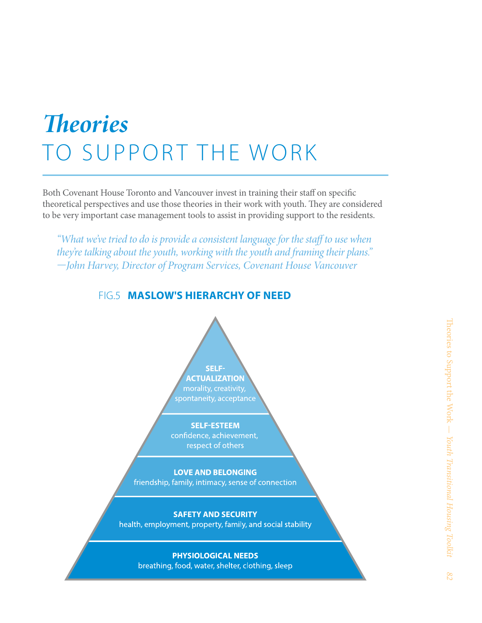# *Theories*  TO SUPPORT THE WORK

Both Covenant House Toronto and Vancouver invest in training their staff on specific theoretical perspectives and use those theories in their work with youth. They are considered to be very important case management tools to assist in providing support to the residents.

*"What we've tried to do is provide a consistent language for the staff to use when they're talking about the youth, working with the youth and framing their plans." —John Harvey, Director of Program Services, Covenant House Vancouver*

FIG.5 **MASLOW'S HIERARCHY OF NEED**



#### **SAFETY AND SECURITY** health, employment, property, family, and social stability

#### **PHYSIOLOGICAL NEEDS**

breathing, food, water, shelter, clothing, sleep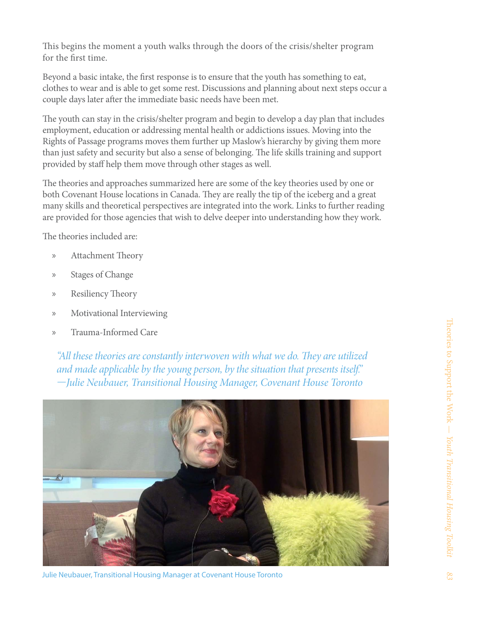This begins the moment a youth walks through the doors of the crisis/shelter program for the first time.

Beyond a basic intake, the first response is to ensure that the youth has something to eat, clothes to wear and is able to get some rest. Discussions and planning about next steps occur a couple days later after the immediate basic needs have been met.

The youth can stay in the crisis/shelter program and begin to develop a day plan that includes employment, education or addressing mental health or addictions issues. Moving into the Rights of Passage programs moves them further up Maslow's hierarchy by giving them more than just safety and security but also a sense of belonging. The life skills training and support provided by staff help them move through other stages as well.

The theories and approaches summarized here are some of the key theories used by one or both Covenant House locations in Canada. They are really the tip of the iceberg and a great many skills and theoretical perspectives are integrated into the work. Links to further reading are provided for those agencies that wish to delve deeper into understanding how they work.

The theories included are:

- » Attachment Theory
- » Stages of Change
- » Resiliency Theory
- » Motivational Interviewing
- » Trauma-Informed Care

*"All these theories are constantly interwoven with what we do. They are utilized and made applicable by the young person, by the situation that presents itself." —Julie Neubauer, Transitional Housing Manager, Covenant House Toronto*



Julie Neubauer, Transitional Housing Manager at Covenant House Toronto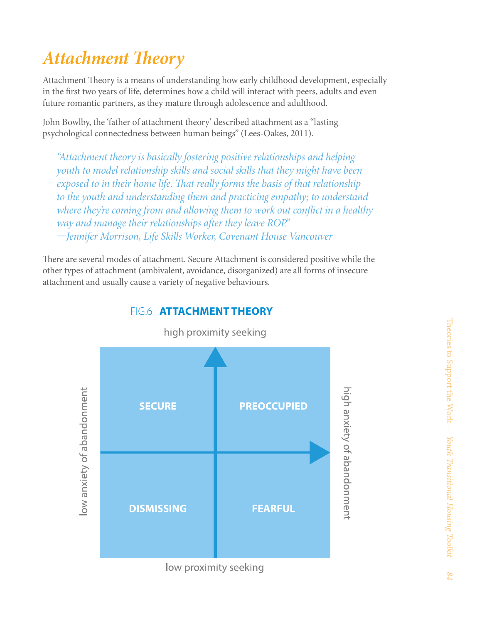# *Attachment Theory*

Attachment Theory is a means of understanding how early childhood development, especially in the first two years of life, determines how a child will interact with peers, adults and even future romantic partners, as they mature through adolescence and adulthood.

John Bowlby, the 'father of attachment theory' described attachment as a "lasting psychological connectedness between human beings" (Lees-Oakes, 2011).

*"Attachment theory is basically fostering positive relationships and helping youth to model relationship skills and social skills that they might have been exposed to in their home life. That really forms the basis of that relationship to the youth and understanding them and practicing empathy; to understand where they're coming from and allowing them to work out conflict in a healthy way and manage their relationships after they leave ROP." —Jennifer Morrison, Life Skills Worker, Covenant House Vancouver* 

There are several modes of attachment. Secure Attachment is considered positive while the other types of attachment (ambivalent, avoidance, disorganized) are all forms of insecure attachment and usually cause a variety of negative behaviours.



#### FIG.6 **ATTACHMENT THEORY**

high proximity seeking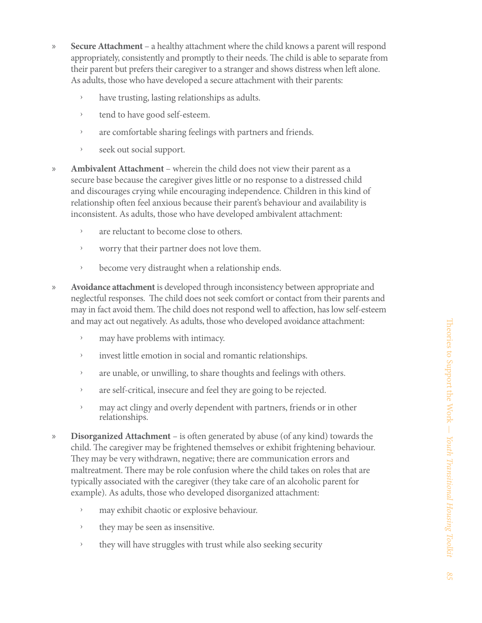- » **Secure Attachment**  a healthy attachment where the child knows a parent will respond appropriately, consistently and promptly to their needs. The child is able to separate from their parent but prefers their caregiver to a stranger and shows distress when left alone. As adults, those who have developed a secure attachment with their parents:
	- ȩ have trusting, lasting relationships as adults.
	- ȩ tend to have good self-esteem.
	- > are comfortable sharing feelings with partners and friends.
	- ȩ seek out social support.
- » **Ambivalent Attachment**  wherein the child does not view their parent as a secure base because the caregiver gives little or no response to a distressed child and discourages crying while encouraging independence. Children in this kind of relationship often feel anxious because their parent's behaviour and availability is inconsistent. As adults, those who have developed ambivalent attachment:
	- $\rightarrow$  are reluctant to become close to others.
	- ȩ worry that their partner does not love them.
	- become very distraught when a relationship ends.
- » **Avoidance attachment** is developed through inconsistency between appropriate and neglectful responses. The child does not seek comfort or contact from their parents and may in fact avoid them. The child does not respond well to affection, has low self-esteem and may act out negatively. As adults, those who developed avoidance attachment:
	- ȩ may have problems with intimacy.
	- ȩ invest little emotion in social and romantic relationships.
	- > are unable, or unwilling, to share thoughts and feelings with others.
	- $\rightarrow$  are self-critical, insecure and feel they are going to be rejected.
	- <sup>3</sup> may act clingy and overly dependent with partners, friends or in other relationships.
- » **Disorganized Attachment** is often generated by abuse (of any kind) towards the child. The caregiver may be frightened themselves or exhibit frightening behaviour. They may be very withdrawn, negative; there are communication errors and maltreatment. There may be role confusion where the child takes on roles that are typically associated with the caregiver (they take care of an alcoholic parent for example). As adults, those who developed disorganized attachment:
	- ȩ may exhibit chaotic or explosive behaviour.
	- ȩ they may be seen as insensitive.
	- ȩ they will have struggles with trust while also seeking security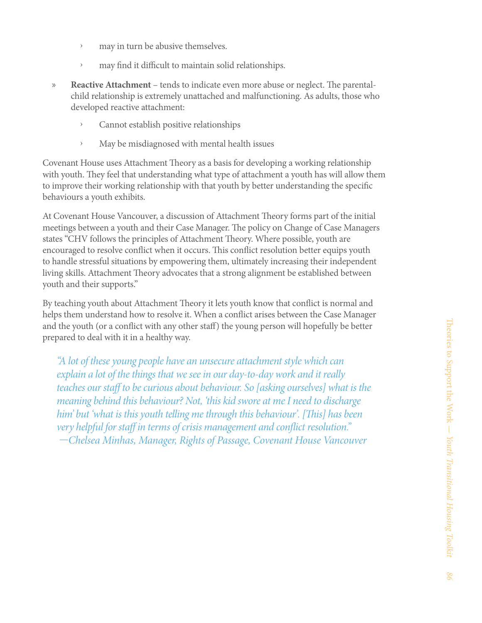- > may in turn be abusive themselves.
- > may find it difficult to maintain solid relationships.
- » **Reactive Attachment**  tends to indicate even more abuse or neglect. The parentalchild relationship is extremely unattached and malfunctioning. As adults, those who developed reactive attachment:
	- ȩ Cannot establish positive relationships
	- ȩ May be misdiagnosed with mental health issues

Covenant House uses Attachment Theory as a basis for developing a working relationship with youth. They feel that understanding what type of attachment a youth has will allow them to improve their working relationship with that youth by better understanding the specific behaviours a youth exhibits.

At Covenant House Vancouver, a discussion of Attachment Theory forms part of the initial meetings between a youth and their Case Manager. The policy on Change of Case Managers states "CHV follows the principles of Attachment Theory. Where possible, youth are encouraged to resolve conflict when it occurs. This conflict resolution better equips youth to handle stressful situations by empowering them, ultimately increasing their independent living skills. Attachment Theory advocates that a strong alignment be established between youth and their supports."

By teaching youth about Attachment Theory it lets youth know that conflict is normal and helps them understand how to resolve it. When a conflict arises between the Case Manager and the youth (or a conflict with any other staff) the young person will hopefully be better prepared to deal with it in a healthy way.

*"A lot of these young people have an unsecure attachment style which can explain a lot of the things that we see in our day-to-day work and it really teaches our staff to be curious about behaviour. So [asking ourselves] what is the meaning behind this behaviour? Not, 'this kid swore at me I need to discharge him' but 'what is this youth telling me through this behaviour'. [This] has been very helpful for staff in terms of crisis management and conflict resolution." —Chelsea Minhas, Manager, Rights of Passage, Covenant House Vancouver*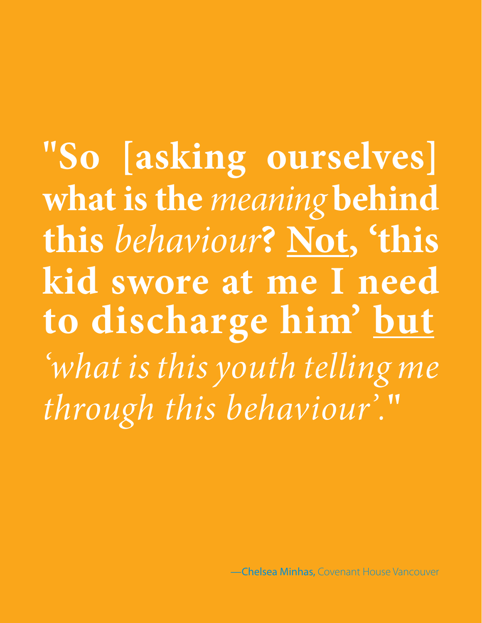**"So [asking ourselves] what is the** *meaning* **behind this** *behaviour***? Not, 'this kid swore at me I need to discharge him' but** *'what is this youth telling me through this behaviour'.***"**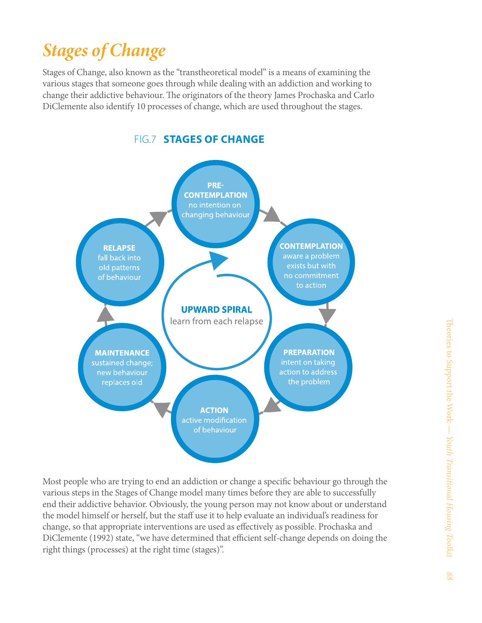### *Stages of Change*

Stages of Change, also known as the "transtheoretical model" is a means of examining the various stages that someone goes through while dealing with an addiction and working to change their addictive behaviour. The originators of the theory James Prochaska and Carlo DiClemente also identify 10 processes of change, which are used throughout the stages.



Most people who are trying to end an addiction or change a specific behaviour go through the various steps in the Stages of Change model many times before they are able to successfully end their addictive behavior. Obviously, the young person may not know about or understand the model himself or herself, but the staff use it to help evaluate an individual's readiness for change, so that appropriate interventions are used as effectively as possible. Prochaska and DiClemente (1992) state, "we have determined that efficient self-change depends on doing the right things (processes) at the right time (stages)".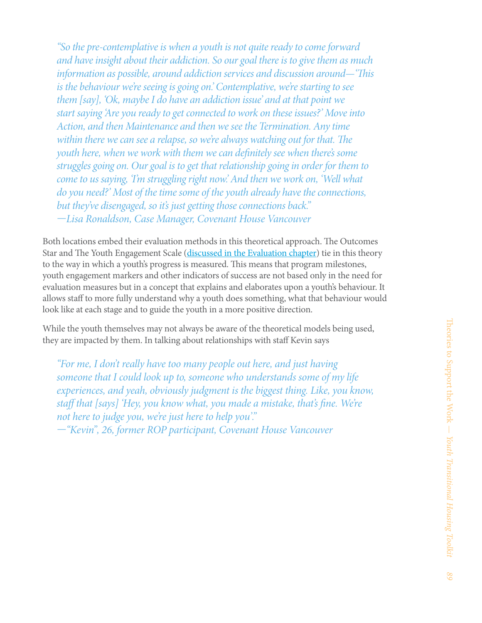*"So the pre-contemplative is when a youth is not quite ready to come forward and have insight about their addiction. So our goal there is to give them as much information as possible, around addiction services and discussion around—'This is the behaviour we're seeing is going on.' Contemplative, we're starting to see them [say], 'Ok, maybe I do have an addiction issue' and at that point we start saying 'Are you ready to get connected to work on these issues?' Move into Action, and then Maintenance and then we see the Termination. Any time within there we can see a relapse, so we're always watching out for that. The youth here, when we work with them we can definitely see when there's some struggles going on. Our goal is to get that relationship going in order for them to come to us saying, 'I'm struggling right now.' And then we work on, 'Well what do you need?' Most of the time some of the youth already have the connections, but they've disengaged, so it's just getting those connections back." —Lisa Ronaldson, Case Manager, Covenant House Vancouver*

Both locations embed their evaluation methods in this theoretical approach. The Outcomes Star and The Youth Engagement Scale [\(discussed in the Evaluation chapter\)](http://www.homelesshub.ca/toolkit/chapter/evaluation-and-measuring-progress) tie in this theory to the way in which a youth's progress is measured. This means that program milestones, youth engagement markers and other indicators of success are not based only in the need for evaluation measures but in a concept that explains and elaborates upon a youth's behaviour. It allows staff to more fully understand why a youth does something, what that behaviour would look like at each stage and to guide the youth in a more positive direction.

While the youth themselves may not always be aware of the theoretical models being used, they are impacted by them. In talking about relationships with staff Kevin says

*"For me, I don't really have too many people out here, and just having someone that I could look up to, someone who understands some of my life experiences, and yeah, obviously judgment is the biggest thing. Like, you know, staff that [says] 'Hey, you know what, you made a mistake, that's fine. We're not here to judge you, we're just here to help you'."* 

*—"Kevin", 26, former ROP participant, Covenant House Vancouver*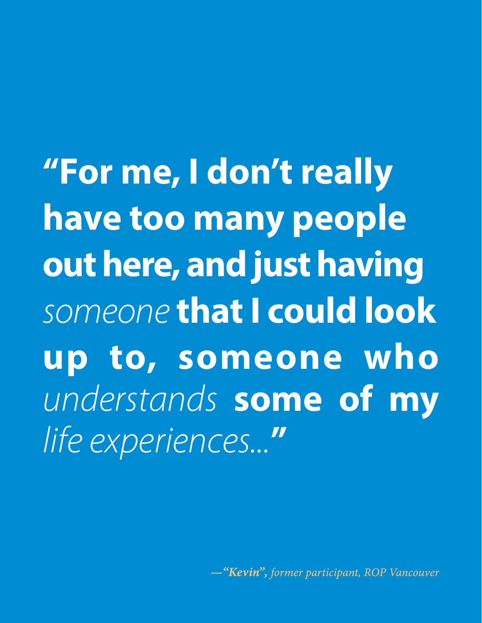**"For me, I don't really have too many people out here, and just having**  *someone* **that I could look up to, someone who**  *understands* **some of my**  *life experiences...***"** 

*—"Kevin", former participant, ROP Vancouver*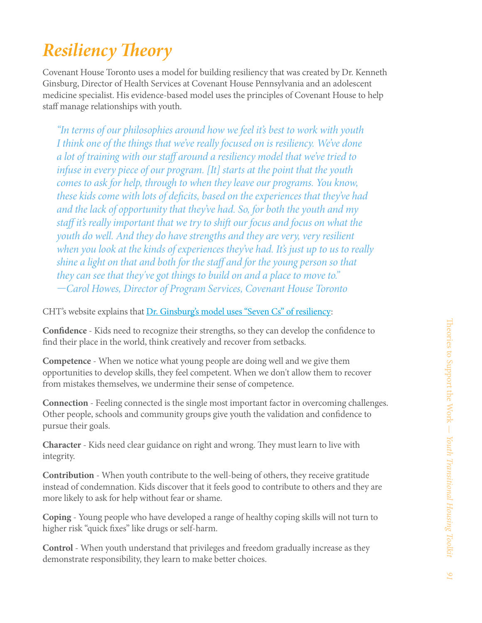## *Resiliency Theory*

Covenant House Toronto uses a model for building resiliency that was created by Dr. Kenneth Ginsburg, Director of Health Services at Covenant House Pennsylvania and an adolescent medicine specialist. His evidence-based model uses the principles of Covenant House to help staff manage relationships with youth.

*"In terms of our philosophies around how we feel it's best to work with youth I think one of the things that we've really focused on is resiliency. We've done a lot of training with our staff around a resiliency model that we've tried to infuse in every piece of our program. [It] starts at the point that the youth comes to ask for help, through to when they leave our programs. You know, these kids come with lots of deficits, based on the experiences that they've had and the lack of opportunity that they've had. So, for both the youth and my staff it's really important that we try to shift our focus and focus on what the youth do well. And they do have strengths and they are very, very resilient when you look at the kinds of experiences they've had. It's just up to us to really shine a light on that and both for the staff and for the young person so that they can see that they've got things to build on and a place to move to." —Carol Howes, Director of Program Services, Covenant House Toronto*

CHT's website explains that [Dr. Ginsburg's model uses "Seven Cs" of resiliency](http://www.covenanthousetoronto.ca/homeless-youth/Fostering-Resiliency):

**Confidence** - Kids need to recognize their strengths, so they can develop the confidence to find their place in the world, think creatively and recover from setbacks.

**Competence** - When we notice what young people are doing well and we give them opportunities to develop skills, they feel competent. When we don't allow them to recover from mistakes themselves, we undermine their sense of competence.

**Connection** - Feeling connected is the single most important factor in overcoming challenges. Other people, schools and community groups give youth the validation and confidence to pursue their goals.

**Character** - Kids need clear guidance on right and wrong. They must learn to live with integrity.

**Contribution** - When youth contribute to the well-being of others, they receive gratitude instead of condemnation. Kids discover that it feels good to contribute to others and they are more likely to ask for help without fear or shame.

**Coping** - Young people who have developed a range of healthy coping skills will not turn to higher risk "quick fixes" like drugs or self-harm.

**Control** - When youth understand that privileges and freedom gradually increase as they demonstrate responsibility, they learn to make better choices.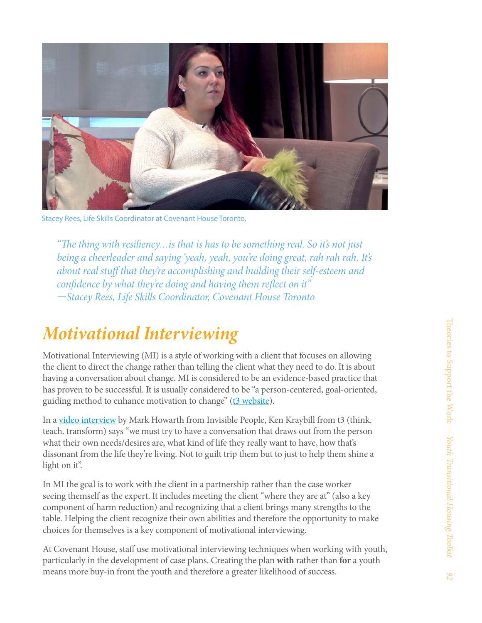

Stacey Rees, Life Skills Coordinator at Covenant House Toronto.

*"The thing with resiliency…is that is has to be something real. So it's not just being a cheerleader and saying 'yeah, yeah, you're doing great, rah rah rah. It's about real stuff that they're accomplishing and building their self-esteem and confidence by what they're doing and having them reflect on it" —Stacey Rees, Life Skills Coordinator, Covenant House Toronto*

#### *Motivational Interviewing*

Motivational Interviewing (MI) is a style of working with a client that focuses on allowing the client to direct the change rather than telling the client what they need to do. It is about having a conversation about change. MI is considered to be an evidence-based practice that has proven to be successful. It is usually considered to be "a person-centered, goal-oriented, guiding method to enhance motivation to change" ([t3 website](http://www.center4si.com/training/)).

In a [video interview](http://www.youtube.com/watch?v=wepwlY-YsXs) by Mark Howarth from Invisible People, Ken Kraybill from t3 (think. teach. transform) says "we must try to have a conversation that draws out from the person what their own needs/desires are, what kind of life they really want to have, how that's dissonant from the life they're living. Not to guilt trip them but to just to help them shine a light on it".

In MI the goal is to work with the client in a partnership rather than the case worker seeing themself as the expert. It includes meeting the client "where they are at" (also a key component of harm reduction) and recognizing that a client brings many strengths to the table. Helping the client recognize their own abilities and therefore the opportunity to make choices for themselves is a key component of motivational interviewing.

At Covenant House, staff use motivational interviewing techniques when working with youth, particularly in the development of case plans. Creating the plan **with** rather than **for** a youth means more buy-in from the youth and therefore a greater likelihood of success.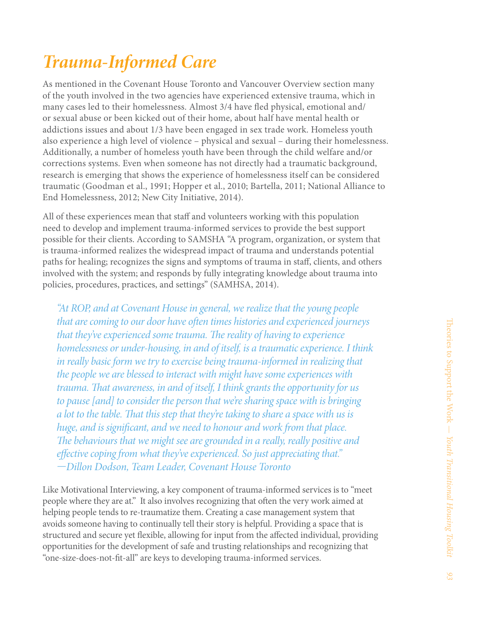### *Trauma-Informed Care*

As mentioned in the Covenant House Toronto and Vancouver Overview section many of the youth involved in the two agencies have experienced extensive trauma, which in many cases led to their homelessness. Almost 3/4 have fled physical, emotional and/ or sexual abuse or been kicked out of their home, about half have mental health or addictions issues and about 1/3 have been engaged in sex trade work. Homeless youth also experience a high level of violence – physical and sexual – during their homelessness. Additionally, a number of homeless youth have been through the child welfare and/or corrections systems. Even when someone has not directly had a traumatic background, research is emerging that shows the experience of homelessness itself can be considered traumatic (Goodman et al., 1991; Hopper et al., 2010; Bartella, 2011; National Alliance to End Homelessness, 2012; New City Initiative, 2014).

All of these experiences mean that staff and volunteers working with this population need to develop and implement trauma-informed services to provide the best support possible for their clients. According to SAMSHA "A program, organization, or system that is trauma-informed realizes the widespread impact of trauma and understands potential paths for healing; recognizes the signs and symptoms of trauma in staff, clients, and others involved with the system; and responds by fully integrating knowledge about trauma into policies, procedures, practices, and settings" (SAMHSA, 2014).

*"At ROP, and at Covenant House in general, we realize that the young people that are coming to our door have often times histories and experienced journeys that they've experienced some trauma. The reality of having to experience homelessness or under-housing, in and of itself, is a traumatic experience. I think in really basic form we try to exercise being trauma-informed in realizing that the people we are blessed to interact with might have some experiences with trauma. That awareness, in and of itself, I think grants the opportunity for us to pause [and] to consider the person that we're sharing space with is bringing a lot to the table. That this step that they're taking to share a space with us is huge, and is significant, and we need to honour and work from that place. The behaviours that we might see are grounded in a really, really positive and effective coping from what they've experienced. So just appreciating that." —Dillon Dodson, Team Leader, Covenant House Toronto*

Like Motivational Interviewing, a key component of trauma-informed services is to "meet people where they are at." It also involves recognizing that often the very work aimed at helping people tends to re-traumatize them. Creating a case management system that avoids someone having to continually tell their story is helpful. Providing a space that is structured and secure yet flexible, allowing for input from the affected individual, providing opportunities for the development of safe and trusting relationships and recognizing that "one-size-does-not-fit-all" are keys to developing trauma-informed services.